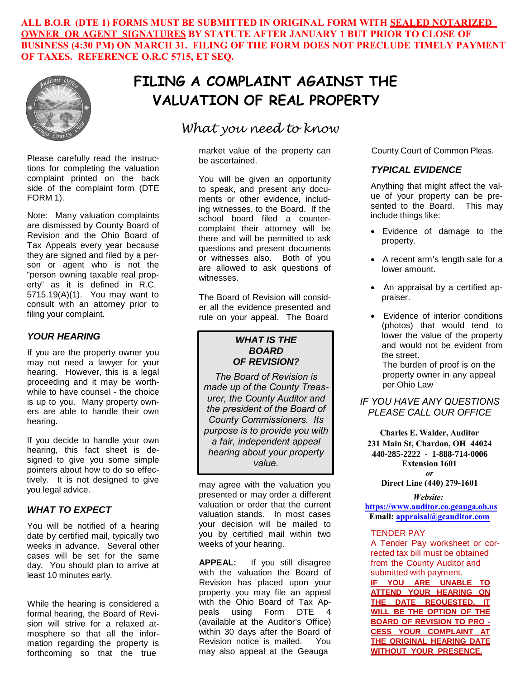**ALL B.O.R (DTE 1) FORMS MUST BE SUBMITTED IN ORIGINAL FORM WITH SEALED NOTARIZED OWNER OR AGENT SIGNATURES BY STATUTE AFTER JANUARY 1 BUT PRIOR TO CLOSE OF BUSINESS (4:30 PM) ON MARCH 31. FILING OF THE FORM DOES NOT PRECLUDE TIMELY PAYMENT OF TAXES. REFERENCE O.R.C 5715, ET SEQ.**



Please carefully read the instructions for completing the valuation complaint printed on the back side of the complaint form (DTE FORM 1).

Note: Many valuation complaints are dismissed by County Board of Revision and the Ohio Board of Tax Appeals every year because they are signed and filed by a person or agent who is not the "person owning taxable real property" as it is defined in R.C. 5715.19(A)(1). You may want to consult with an attorney prior to filing your complaint.

### *YOUR HEARING*

If you are the property owner you may not need a lawyer for your hearing. However, this is a legal proceeding and it may be worthwhile to have counsel - the choice is up to you. Many property owners are able to handle their own hearing.

If you decide to handle your own hearing, this fact sheet is designed to give you some simple pointers about how to do so effectively. It is not designed to give you legal advice.

#### *WHAT TO EXPECT*

You will be notified of a hearing date by certified mail, typically two weeks in advance. Several other cases will be set for the same day. You should plan to arrive at least 10 minutes early.

While the hearing is considered a formal hearing, the Board of Revision will strive for a relaxed atmosphere so that all the information regarding the property is forthcoming so that the true

# **FILING A COMPLAINT AGAINST THE VALUATION OF REAL PROPERTY**

# *What you need to know*

market value of the property can be ascertained.

You will be given an opportunity to speak, and present any documents or other evidence, including witnesses, to the Board. If the school board filed a countercomplaint their attorney will be there and will be permitted to ask questions and present documents or witnesses also. Both of you are allowed to ask questions of witnesses.

The Board of Revision will consider all the evidence presented and rule on your appeal. The Board

## *WHAT IS THE BOARD OF REVISION?*

*The Board of Revision is made up of the County Treasurer, the County Auditor and the president of the Board of County Commissioners. Its purpose is to provide you with a fair, independent appeal hearing about your property value.*

may agree with the valuation you presented or may order a different valuation or order that the current valuation stands. In most cases your decision will be mailed to you by certified mail within two weeks of your hearing.

**APPEAL:** If you still disagree with the valuation the Board of Revision has placed upon your property you may file an appeal with the Ohio Board of Tax Appeals using Form DTE 4 (available at the Auditor's Office) within 30 days after the Board of Revision notice is mailed. You may also appeal at the Geauga

County Court of Common Pleas.

### *TYPICAL EVIDENCE*

Anything that might affect the value of your property can be presented to the Board. This may include things like:

- Evidence of damage to the property.
- A recent arm's length sale for a lower amount.
- An appraisal by a certified appraiser.
- Evidence of interior conditions (photos) that would tend to lower the value of the property and would not be evident from the street.

The burden of proof is on the property owner in any appeal per Ohio Law

*IF YOU HAVE ANY QUESTIONS PLEASE CALL OUR OFFICE*

**Charles E. Walder, Auditor 231 Main St, Chardon, OH 44024 440-285-2222 - 564-7131 - 834-1856 440-285-2222 - 1-888-714-0006Extension 1601** *or*

**Direct Line (440) 279-1601**

#### *Website:*

**<https://www.auditor.co.geauga.oh.us> Email: [appraisal@gcauditor.com](mailto:appraisal@gcauditor.com)**

#### TENDER PAY

A Tender Pay worksheet or corrected tax bill must be obtained from the County Auditor and submitted with payment. **IF YOU ARE UNABLE TO ATTEND YOUR HEARING ON THE DATE REQUESTED, IT WILL BE THE OPTION OF THE**

**BOARD OF REVISION TO PRO - CESS YOUR COMPLAINT AT THE ORIGINAL HEARING DATE WITHOUT YOUR PRESENCE.**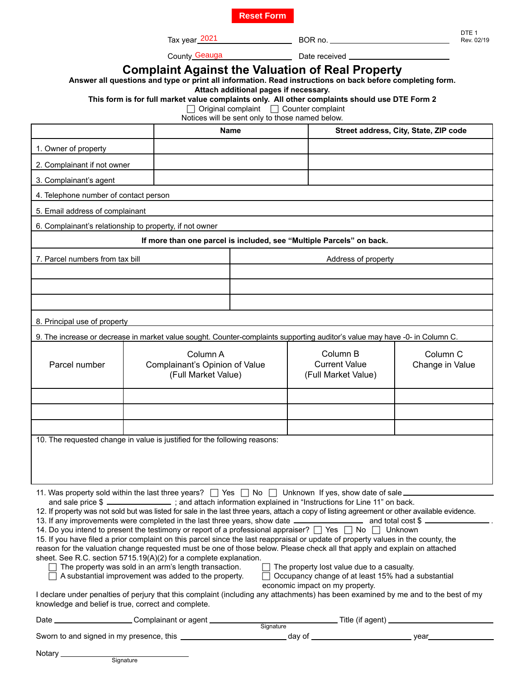**Reset Form**

Tax year<u>\_2021\_\_\_\_\_\_\_\_\_\_\_\_\_\_\_\_\_\_\_\_\_\_\_\_\_\_</u>\_\_\_BOR no. County Geauga

Los Los Louis Date received Louis Louis Louis Louis Louis Louis Louis Louis Louis Louis Louis Louis Louis Louis

DTE<sub>1</sub> Rev. 02/19

**Answer all questions and type or print all information. Read instructions on back before completing form.** 

**Attach additional pages if necessary.** 

**This form is for full market value complaints only. All other complaints should use DTE Form 2** 

Original complaint Counter complaint

Notices will be sent only to those named below.

|                                                                                                                                                                                                                                                                                                                                                                                                                                                                                                                                                                                                                                                                                                                                                                                                                                                                                                                                                                                                                                                                                                                                                                                                                                                                                                                                                                                                                          |                                                                   |                     |  |  | Street address, City, State, ZIP code                   |                                        |  |
|--------------------------------------------------------------------------------------------------------------------------------------------------------------------------------------------------------------------------------------------------------------------------------------------------------------------------------------------------------------------------------------------------------------------------------------------------------------------------------------------------------------------------------------------------------------------------------------------------------------------------------------------------------------------------------------------------------------------------------------------------------------------------------------------------------------------------------------------------------------------------------------------------------------------------------------------------------------------------------------------------------------------------------------------------------------------------------------------------------------------------------------------------------------------------------------------------------------------------------------------------------------------------------------------------------------------------------------------------------------------------------------------------------------------------|-------------------------------------------------------------------|---------------------|--|--|---------------------------------------------------------|----------------------------------------|--|
|                                                                                                                                                                                                                                                                                                                                                                                                                                                                                                                                                                                                                                                                                                                                                                                                                                                                                                                                                                                                                                                                                                                                                                                                                                                                                                                                                                                                                          |                                                                   | Name                |  |  |                                                         |                                        |  |
| 1. Owner of property                                                                                                                                                                                                                                                                                                                                                                                                                                                                                                                                                                                                                                                                                                                                                                                                                                                                                                                                                                                                                                                                                                                                                                                                                                                                                                                                                                                                     |                                                                   |                     |  |  |                                                         |                                        |  |
| 2. Complainant if not owner                                                                                                                                                                                                                                                                                                                                                                                                                                                                                                                                                                                                                                                                                                                                                                                                                                                                                                                                                                                                                                                                                                                                                                                                                                                                                                                                                                                              |                                                                   |                     |  |  |                                                         |                                        |  |
| 3. Complainant's agent                                                                                                                                                                                                                                                                                                                                                                                                                                                                                                                                                                                                                                                                                                                                                                                                                                                                                                                                                                                                                                                                                                                                                                                                                                                                                                                                                                                                   |                                                                   |                     |  |  |                                                         |                                        |  |
| 4. Telephone number of contact person                                                                                                                                                                                                                                                                                                                                                                                                                                                                                                                                                                                                                                                                                                                                                                                                                                                                                                                                                                                                                                                                                                                                                                                                                                                                                                                                                                                    |                                                                   |                     |  |  |                                                         |                                        |  |
| 5. Email address of complainant                                                                                                                                                                                                                                                                                                                                                                                                                                                                                                                                                                                                                                                                                                                                                                                                                                                                                                                                                                                                                                                                                                                                                                                                                                                                                                                                                                                          |                                                                   |                     |  |  |                                                         |                                        |  |
| 6. Complainant's relationship to property, if not owner                                                                                                                                                                                                                                                                                                                                                                                                                                                                                                                                                                                                                                                                                                                                                                                                                                                                                                                                                                                                                                                                                                                                                                                                                                                                                                                                                                  |                                                                   |                     |  |  |                                                         |                                        |  |
| If more than one parcel is included, see "Multiple Parcels" on back.                                                                                                                                                                                                                                                                                                                                                                                                                                                                                                                                                                                                                                                                                                                                                                                                                                                                                                                                                                                                                                                                                                                                                                                                                                                                                                                                                     |                                                                   |                     |  |  |                                                         |                                        |  |
| 7. Parcel numbers from tax bill                                                                                                                                                                                                                                                                                                                                                                                                                                                                                                                                                                                                                                                                                                                                                                                                                                                                                                                                                                                                                                                                                                                                                                                                                                                                                                                                                                                          |                                                                   | Address of property |  |  |                                                         |                                        |  |
|                                                                                                                                                                                                                                                                                                                                                                                                                                                                                                                                                                                                                                                                                                                                                                                                                                                                                                                                                                                                                                                                                                                                                                                                                                                                                                                                                                                                                          |                                                                   |                     |  |  |                                                         |                                        |  |
|                                                                                                                                                                                                                                                                                                                                                                                                                                                                                                                                                                                                                                                                                                                                                                                                                                                                                                                                                                                                                                                                                                                                                                                                                                                                                                                                                                                                                          |                                                                   |                     |  |  |                                                         |                                        |  |
|                                                                                                                                                                                                                                                                                                                                                                                                                                                                                                                                                                                                                                                                                                                                                                                                                                                                                                                                                                                                                                                                                                                                                                                                                                                                                                                                                                                                                          |                                                                   |                     |  |  |                                                         |                                        |  |
| 8. Principal use of property                                                                                                                                                                                                                                                                                                                                                                                                                                                                                                                                                                                                                                                                                                                                                                                                                                                                                                                                                                                                                                                                                                                                                                                                                                                                                                                                                                                             |                                                                   |                     |  |  |                                                         |                                        |  |
| 9. The increase or decrease in market value sought. Counter-complaints supporting auditor's value may have -0- in Column C.                                                                                                                                                                                                                                                                                                                                                                                                                                                                                                                                                                                                                                                                                                                                                                                                                                                                                                                                                                                                                                                                                                                                                                                                                                                                                              |                                                                   |                     |  |  |                                                         |                                        |  |
| Parcel number                                                                                                                                                                                                                                                                                                                                                                                                                                                                                                                                                                                                                                                                                                                                                                                                                                                                                                                                                                                                                                                                                                                                                                                                                                                                                                                                                                                                            | Column A<br>Complainant's Opinion of Value<br>(Full Market Value) |                     |  |  | Column B<br><b>Current Value</b><br>(Full Market Value) | Column <sub>C</sub><br>Change in Value |  |
|                                                                                                                                                                                                                                                                                                                                                                                                                                                                                                                                                                                                                                                                                                                                                                                                                                                                                                                                                                                                                                                                                                                                                                                                                                                                                                                                                                                                                          |                                                                   |                     |  |  |                                                         |                                        |  |
|                                                                                                                                                                                                                                                                                                                                                                                                                                                                                                                                                                                                                                                                                                                                                                                                                                                                                                                                                                                                                                                                                                                                                                                                                                                                                                                                                                                                                          |                                                                   |                     |  |  |                                                         |                                        |  |
|                                                                                                                                                                                                                                                                                                                                                                                                                                                                                                                                                                                                                                                                                                                                                                                                                                                                                                                                                                                                                                                                                                                                                                                                                                                                                                                                                                                                                          |                                                                   |                     |  |  |                                                         |                                        |  |
| 10. The requested change in value is justified for the following reasons:                                                                                                                                                                                                                                                                                                                                                                                                                                                                                                                                                                                                                                                                                                                                                                                                                                                                                                                                                                                                                                                                                                                                                                                                                                                                                                                                                |                                                                   |                     |  |  |                                                         |                                        |  |
| 11. Was property sold within the last three years? $\Box$ Yes $\Box$ No $\Box$ Unknown If yes, show date of sale.<br>and sale price \$ _______________; and attach information explained in "Instructions for Line 11" on back.<br>12. If property was not sold but was listed for sale in the last three years, attach a copy of listing agreement or other available evidence.<br>13. If any improvements were completed in the last three years, show date _________________________ and total cost \$<br>14. Do you intend to present the testimony or report of a professional appraiser? □ Yes □ No □ Unknown<br>15. If you have filed a prior complaint on this parcel since the last reappraisal or update of property values in the county, the<br>reason for the valuation change requested must be one of those below. Please check all that apply and explain on attached<br>sheet. See R.C. section 5715.19(A)(2) for a complete explanation.<br>The property was sold in an arm's length transaction.<br>$\Box$ The property lost value due to a casualty.<br>A substantial improvement was added to the property.<br>□ Occupancy change of at least 15% had a substantial<br>economic impact on my property.<br>I declare under penalties of perjury that this complaint (including any attachments) has been examined by me and to the best of my<br>knowledge and belief is true, correct and complete. |                                                                   |                     |  |  |                                                         |                                        |  |
|                                                                                                                                                                                                                                                                                                                                                                                                                                                                                                                                                                                                                                                                                                                                                                                                                                                                                                                                                                                                                                                                                                                                                                                                                                                                                                                                                                                                                          |                                                                   |                     |  |  |                                                         |                                        |  |
|                                                                                                                                                                                                                                                                                                                                                                                                                                                                                                                                                                                                                                                                                                                                                                                                                                                                                                                                                                                                                                                                                                                                                                                                                                                                                                                                                                                                                          |                                                                   |                     |  |  |                                                         |                                        |  |
|                                                                                                                                                                                                                                                                                                                                                                                                                                                                                                                                                                                                                                                                                                                                                                                                                                                                                                                                                                                                                                                                                                                                                                                                                                                                                                                                                                                                                          |                                                                   |                     |  |  |                                                         |                                        |  |

**Signature**